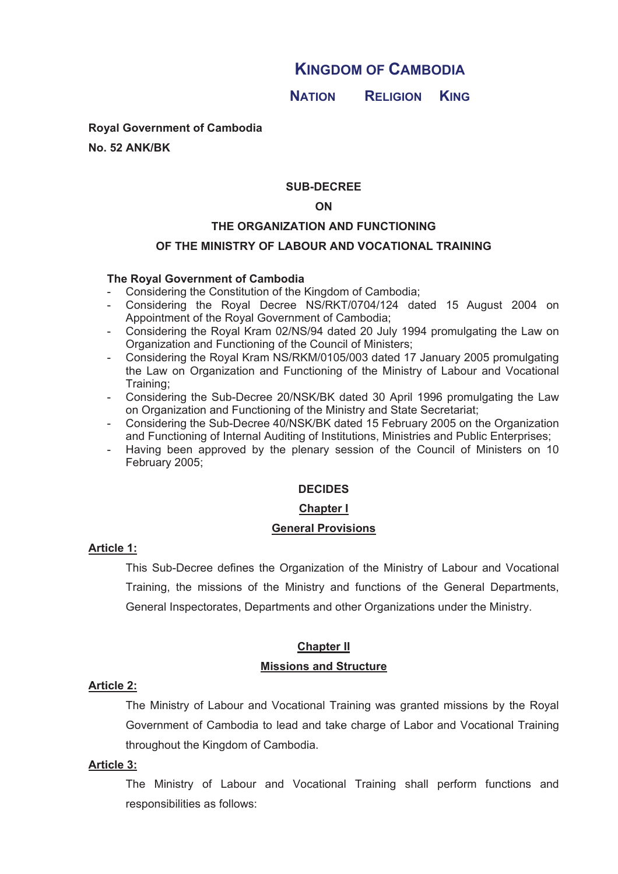# **KINGDOM OF CAMBODIA**

**<sup>N</sup>ATION RELIGION KING**

**Royal Government of Cambodia** 

**No. 52 ANK/BK**

#### **SUB-DECREE**

#### **ON**

#### **THE ORGANIZATION AND FUNCTIONING**

#### **OF THE MINISTRY OF LABOUR AND VOCATIONAL TRAINING**

#### **The Royal Government of Cambodia**

- Considering the Constitution of the Kingdom of Cambodia;
- Considering the Royal Decree NS/RKT/0704/124 dated 15 August 2004 on Appointment of the Royal Government of Cambodia;
- Considering the Royal Kram 02/NS/94 dated 20 July 1994 promulgating the Law on Organization and Functioning of the Council of Ministers;
- Considering the Royal Kram NS/RKM/0105/003 dated 17 January 2005 promulgating the Law on Organization and Functioning of the Ministry of Labour and Vocational Training;
- Considering the Sub-Decree 20/NSK/BK dated 30 April 1996 promulgating the Law on Organization and Functioning of the Ministry and State Secretariat;
- Considering the Sub-Decree 40/NSK/BK dated 15 February 2005 on the Organization and Functioning of Internal Auditing of Institutions, Ministries and Public Enterprises;
- Having been approved by the plenary session of the Council of Ministers on 10 February 2005;

#### **DECIDES**

#### **Chapter I**

#### **General Provisions**

#### **Article 1:**

This Sub-Decree defines the Organization of the Ministry of Labour and Vocational Training, the missions of the Ministry and functions of the General Departments, General Inspectorates, Departments and other Organizations under the Ministry.

# **Chapter II**

#### **Missions and Structure**

#### **Article 2:**

The Ministry of Labour and Vocational Training was granted missions by the Royal Government of Cambodia to lead and take charge of Labor and Vocational Training throughout the Kingdom of Cambodia.

#### **Article 3:**

The Ministry of Labour and Vocational Training shall perform functions and responsibilities as follows: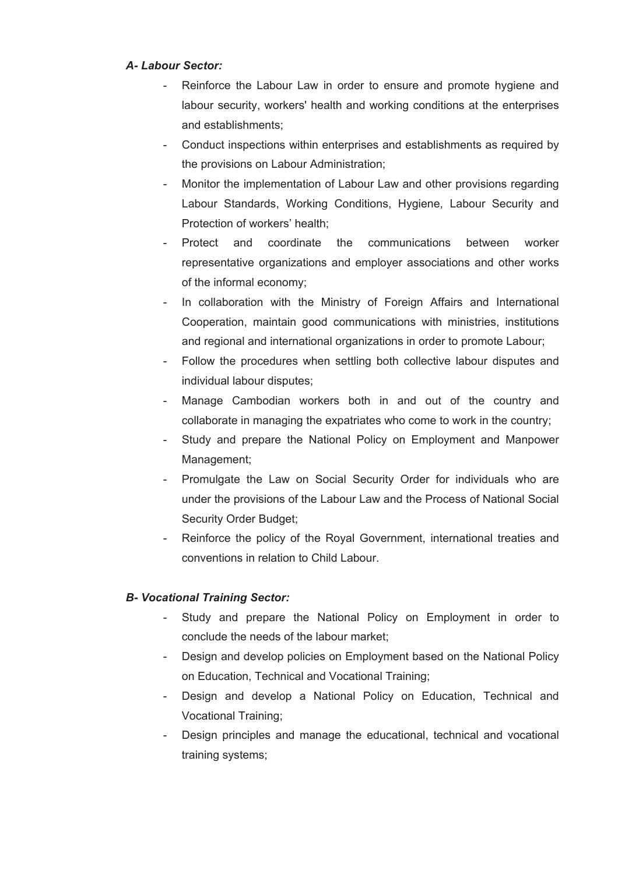# *A- Labour Sector:*

- Reinforce the Labour Law in order to ensure and promote hygiene and labour security, workers' health and working conditions at the enterprises and establishments;
- Conduct inspections within enterprises and establishments as required by the provisions on Labour Administration;
- Monitor the implementation of Labour Law and other provisions regarding Labour Standards, Working Conditions, Hygiene, Labour Security and Protection of workers' health;
- Protect and coordinate the communications between worker representative organizations and employer associations and other works of the informal economy;
- In collaboration with the Ministry of Foreign Affairs and International Cooperation, maintain good communications with ministries, institutions and regional and international organizations in order to promote Labour;
- Follow the procedures when settling both collective labour disputes and individual labour disputes;
- Manage Cambodian workers both in and out of the country and collaborate in managing the expatriates who come to work in the country;
- Study and prepare the National Policy on Employment and Manpower Management;
- Promulgate the Law on Social Security Order for individuals who are under the provisions of the Labour Law and the Process of National Social Security Order Budget;
- Reinforce the policy of the Royal Government, international treaties and conventions in relation to Child Labour.

# *B- Vocational Training Sector:*

- Study and prepare the National Policy on Employment in order to conclude the needs of the labour market;
- Design and develop policies on Employment based on the National Policy on Education, Technical and Vocational Training;
- Design and develop a National Policy on Education, Technical and Vocational Training;
- Design principles and manage the educational, technical and vocational training systems;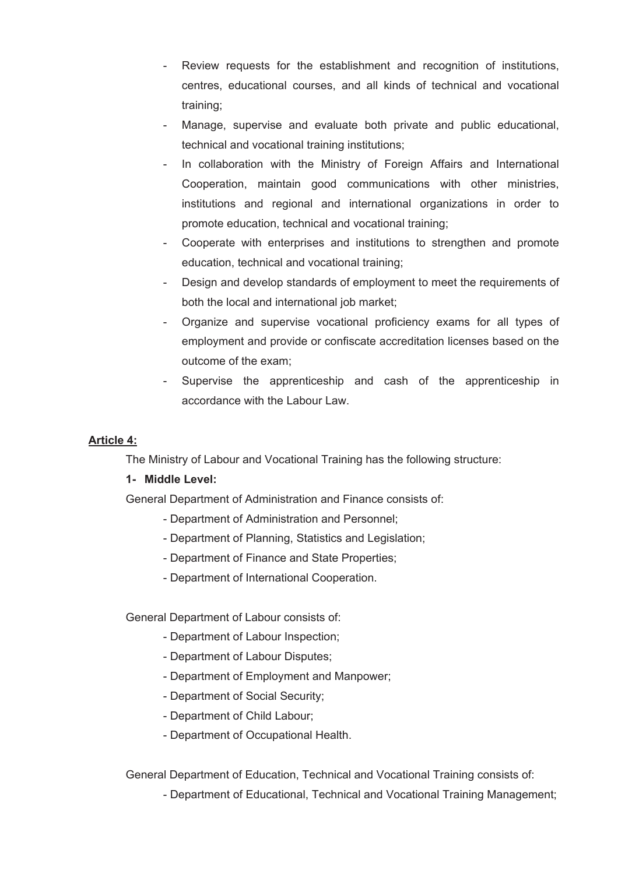- Review requests for the establishment and recognition of institutions, centres, educational courses, and all kinds of technical and vocational training;
- Manage, supervise and evaluate both private and public educational, technical and vocational training institutions;
- In collaboration with the Ministry of Foreign Affairs and International Cooperation, maintain good communications with other ministries, institutions and regional and international organizations in order to promote education, technical and vocational training;
- Cooperate with enterprises and institutions to strengthen and promote education, technical and vocational training;
- Design and develop standards of employment to meet the requirements of both the local and international job market;
- Organize and supervise vocational proficiency exams for all types of employment and provide or confiscate accreditation licenses based on the outcome of the exam;
- Supervise the apprenticeship and cash of the apprenticeship in accordance with the Labour Law.

# **Article 4:**

The Ministry of Labour and Vocational Training has the following structure:

# **1- Middle Level:**

General Department of Administration and Finance consists of:

- Department of Administration and Personnel;
- Department of Planning, Statistics and Legislation;
- Department of Finance and State Properties;
- Department of International Cooperation.

General Department of Labour consists of:

- Department of Labour Inspection;
- Department of Labour Disputes;
- Department of Employment and Manpower;
- Department of Social Security;
- Department of Child Labour;
- Department of Occupational Health.

General Department of Education, Technical and Vocational Training consists of:

- Department of Educational, Technical and Vocational Training Management;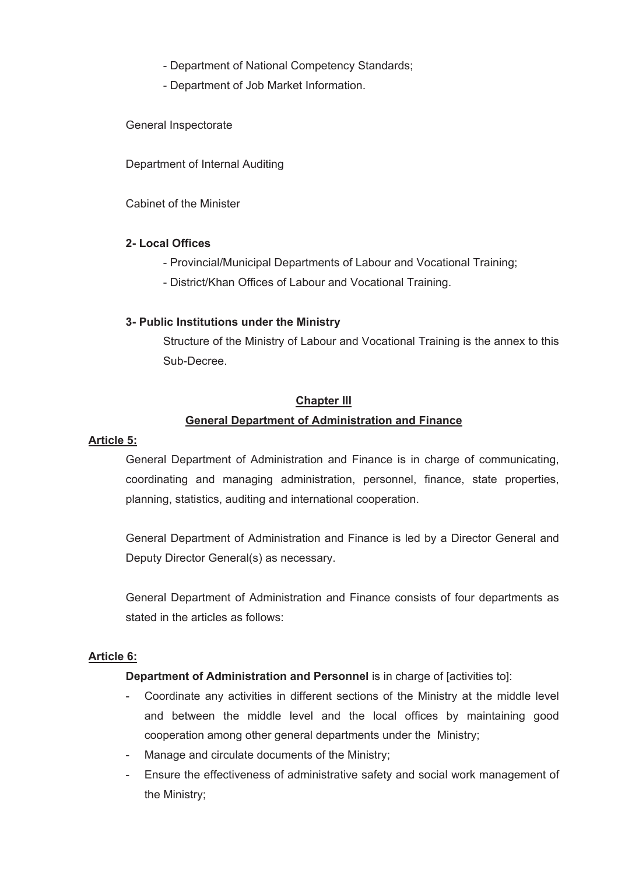- Department of National Competency Standards;
- Department of Job Market Information.

General Inspectorate

Department of Internal Auditing

Cabinet of the Minister

## **2- Local Offices**

- Provincial/Municipal Departments of Labour and Vocational Training;
- District/Khan Offices of Labour and Vocational Training.

## **3- Public Institutions under the Ministry**

Structure of the Ministry of Labour and Vocational Training is the annex to this Sub-Decree.

#### **Chapter III**

# **General Department of Administration and Finance**

#### **Article 5:**

General Department of Administration and Finance is in charge of communicating, coordinating and managing administration, personnel, finance, state properties, planning, statistics, auditing and international cooperation.

General Department of Administration and Finance is led by a Director General and Deputy Director General(s) as necessary.

General Department of Administration and Finance consists of four departments as stated in the articles as follows:

#### **Article 6:**

#### **Department of Administration and Personnel is in charge of [activities to]:**

- Coordinate any activities in different sections of the Ministry at the middle level and between the middle level and the local offices by maintaining good cooperation among other general departments under the Ministry;
- Manage and circulate documents of the Ministry;
- Ensure the effectiveness of administrative safety and social work management of the Ministry;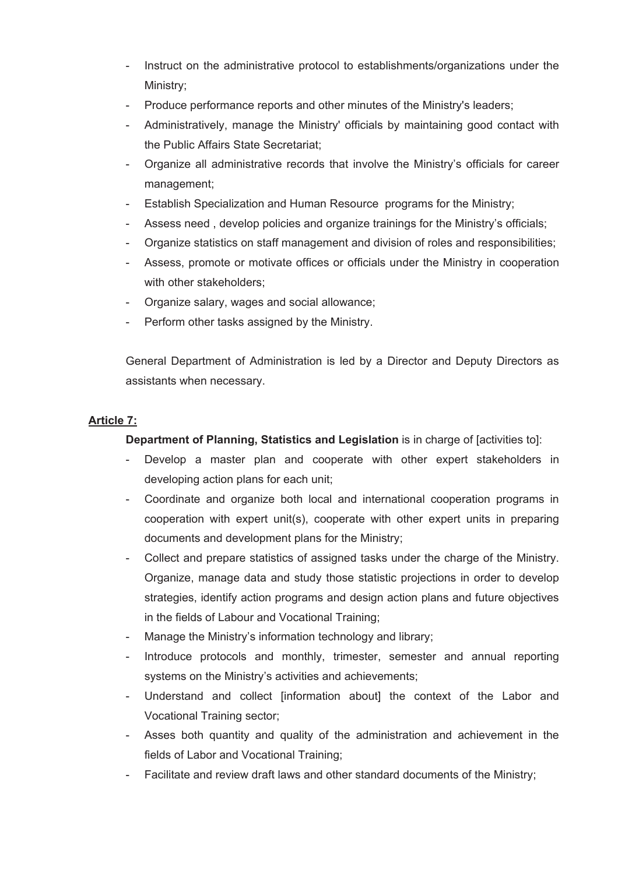- Instruct on the administrative protocol to establishments/organizations under the Ministry;
- Produce performance reports and other minutes of the Ministry's leaders;
- Administratively, manage the Ministry' officials by maintaining good contact with the Public Affairs State Secretariat;
- Organize all administrative records that involve the Ministry's officials for career management;
- Establish Specialization and Human Resource programs for the Ministry;
- Assess need , develop policies and organize trainings for the Ministry's officials;
- Organize statistics on staff management and division of roles and responsibilities;
- Assess, promote or motivate offices or officials under the Ministry in cooperation with other stakeholders:
- Organize salary, wages and social allowance;
- Perform other tasks assigned by the Ministry.

General Department of Administration is led by a Director and Deputy Directors as assistants when necessary.

# **Article 7:**

**Department of Planning, Statistics and Legislation** is in charge of *activities tol:* 

- Develop a master plan and cooperate with other expert stakeholders in developing action plans for each unit;
- Coordinate and organize both local and international cooperation programs in cooperation with expert unit(s), cooperate with other expert units in preparing documents and development plans for the Ministry;
- Collect and prepare statistics of assigned tasks under the charge of the Ministry. Organize, manage data and study those statistic projections in order to develop strategies, identify action programs and design action plans and future objectives in the fields of Labour and Vocational Training;
- Manage the Ministry's information technology and library;
- Introduce protocols and monthly, trimester, semester and annual reporting systems on the Ministry's activities and achievements;
- Understand and collect [information about] the context of the Labor and Vocational Training sector;
- Asses both quantity and quality of the administration and achievement in the fields of Labor and Vocational Training;
- Facilitate and review draft laws and other standard documents of the Ministry;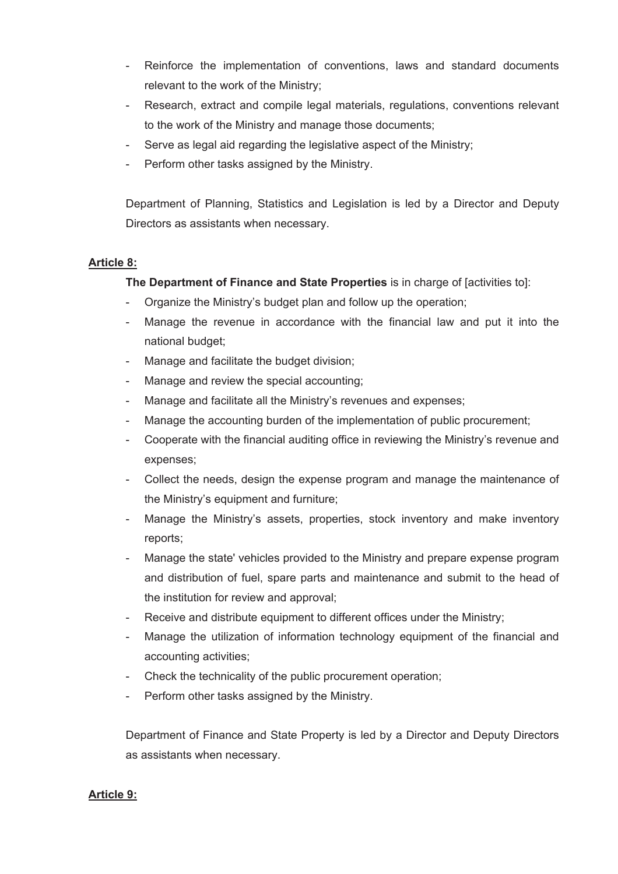- Reinforce the implementation of conventions, laws and standard documents relevant to the work of the Ministry;
- Research, extract and compile legal materials, regulations, conventions relevant to the work of the Ministry and manage those documents;
- Serve as legal aid regarding the legislative aspect of the Ministry;
- Perform other tasks assigned by the Ministry.

Department of Planning, Statistics and Legislation is led by a Director and Deputy Directors as assistants when necessary.

# **Article 8:**

**The Department of Finance and State Properties** is in charge of [activities to]:

- Organize the Ministry's budget plan and follow up the operation;
- Manage the revenue in accordance with the financial law and put it into the national budget;
- Manage and facilitate the budget division;
- Manage and review the special accounting;
- Manage and facilitate all the Ministry's revenues and expenses;
- Manage the accounting burden of the implementation of public procurement;
- Cooperate with the financial auditing office in reviewing the Ministry's revenue and expenses;
- Collect the needs, design the expense program and manage the maintenance of the Ministry's equipment and furniture;
- Manage the Ministry's assets, properties, stock inventory and make inventory reports;
- Manage the state' vehicles provided to the Ministry and prepare expense program and distribution of fuel, spare parts and maintenance and submit to the head of the institution for review and approval;
- Receive and distribute equipment to different offices under the Ministry;
- Manage the utilization of information technology equipment of the financial and accounting activities;
- Check the technicality of the public procurement operation;
- Perform other tasks assigned by the Ministry.

Department of Finance and State Property is led by a Director and Deputy Directors as assistants when necessary.

# **Article 9:**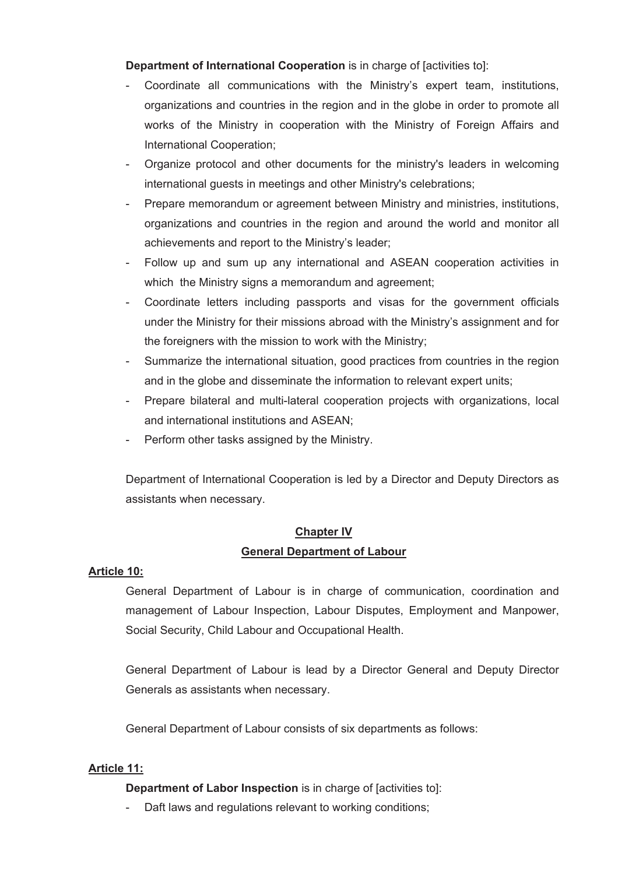**Department of International Cooperation** is in charge of [activities to]:

- Coordinate all communications with the Ministry's expert team, institutions, organizations and countries in the region and in the globe in order to promote all works of the Ministry in cooperation with the Ministry of Foreign Affairs and International Cooperation;
- Organize protocol and other documents for the ministry's leaders in welcoming international guests in meetings and other Ministry's celebrations;
- Prepare memorandum or agreement between Ministry and ministries, institutions, organizations and countries in the region and around the world and monitor all achievements and report to the Ministry's leader;
- Follow up and sum up any international and ASEAN cooperation activities in which the Ministry signs a memorandum and agreement;
- Coordinate letters including passports and visas for the government officials under the Ministry for their missions abroad with the Ministry's assignment and for the foreigners with the mission to work with the Ministry;
- Summarize the international situation, good practices from countries in the region and in the globe and disseminate the information to relevant expert units;
- Prepare bilateral and multi-lateral cooperation projects with organizations, local and international institutions and ASEAN;
- Perform other tasks assigned by the Ministry.

Department of International Cooperation is led by a Director and Deputy Directors as assistants when necessary.

# **Chapter IV General Department of Labour**

# **Article 10:**

General Department of Labour is in charge of communication, coordination and management of Labour Inspection, Labour Disputes, Employment and Manpower, Social Security, Child Labour and Occupational Health.

General Department of Labour is lead by a Director General and Deputy Director Generals as assistants when necessary.

General Department of Labour consists of six departments as follows:

# **Article 11:**

**Department of Labor Inspection** is in charge of [activities to]:

- Daft laws and regulations relevant to working conditions;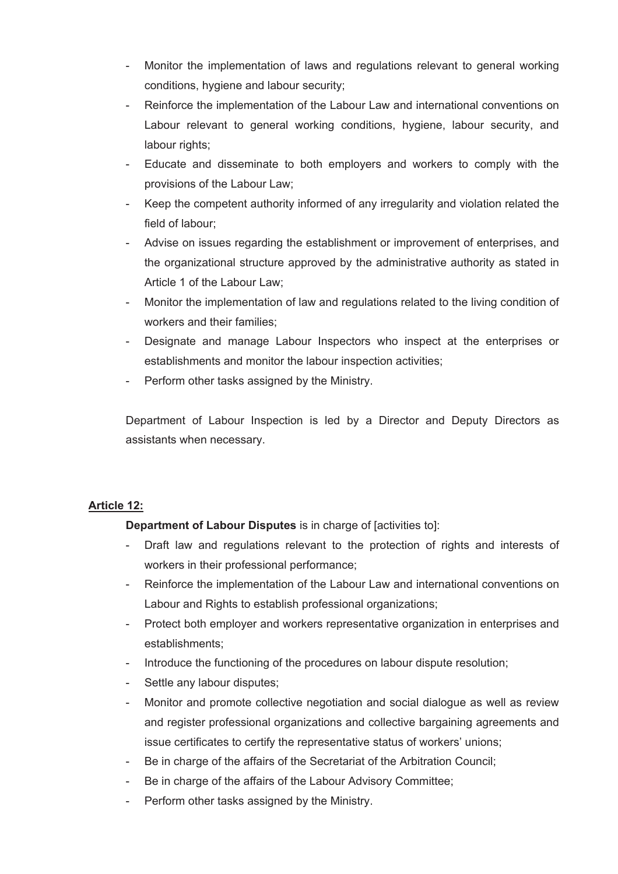- Monitor the implementation of laws and regulations relevant to general working conditions, hygiene and labour security;
- Reinforce the implementation of the Labour Law and international conventions on Labour relevant to general working conditions, hygiene, labour security, and labour rights;
- Educate and disseminate to both employers and workers to comply with the provisions of the Labour Law;
- Keep the competent authority informed of any irregularity and violation related the field of labour;
- Advise on issues regarding the establishment or improvement of enterprises, and the organizational structure approved by the administrative authority as stated in Article 1 of the Labour Law;
- Monitor the implementation of law and regulations related to the living condition of workers and their families;
- Designate and manage Labour Inspectors who inspect at the enterprises or establishments and monitor the labour inspection activities;
- Perform other tasks assigned by the Ministry.

Department of Labour Inspection is led by a Director and Deputy Directors as assistants when necessary.

# **Article 12:**

**Department of Labour Disputes** is in charge of [activities to]:

- Draft law and regulations relevant to the protection of rights and interests of workers in their professional performance;
- Reinforce the implementation of the Labour Law and international conventions on Labour and Rights to establish professional organizations;
- Protect both employer and workers representative organization in enterprises and establishments;
- Introduce the functioning of the procedures on labour dispute resolution;
- Settle any labour disputes;
- Monitor and promote collective negotiation and social dialogue as well as review and register professional organizations and collective bargaining agreements and issue certificates to certify the representative status of workers' unions;
- Be in charge of the affairs of the Secretariat of the Arbitration Council;
- Be in charge of the affairs of the Labour Advisory Committee;
- Perform other tasks assigned by the Ministry.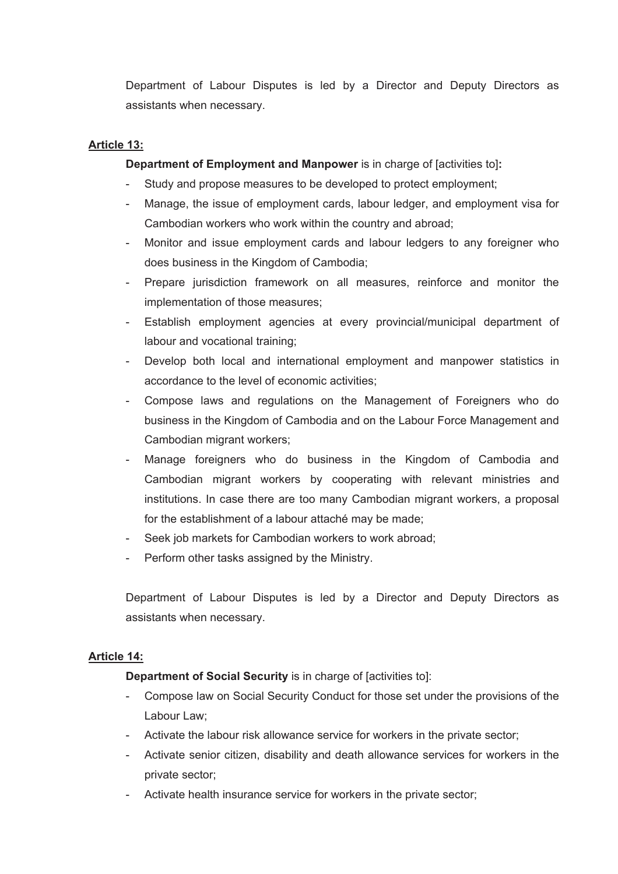Department of Labour Disputes is led by a Director and Deputy Directors as assistants when necessary.

# **Article 13:**

**Department of Employment and Manpower** is in charge of [activities to]**:**

- Study and propose measures to be developed to protect employment;
- Manage, the issue of employment cards, labour ledger, and employment visa for Cambodian workers who work within the country and abroad;
- Monitor and issue employment cards and labour ledgers to any foreigner who does business in the Kingdom of Cambodia;
- Prepare jurisdiction framework on all measures, reinforce and monitor the implementation of those measures;
- Establish employment agencies at every provincial/municipal department of labour and vocational training;
- Develop both local and international employment and manpower statistics in accordance to the level of economic activities;
- Compose laws and regulations on the Management of Foreigners who do business in the Kingdom of Cambodia and on the Labour Force Management and Cambodian migrant workers;
- Manage foreigners who do business in the Kingdom of Cambodia and Cambodian migrant workers by cooperating with relevant ministries and institutions. In case there are too many Cambodian migrant workers, a proposal for the establishment of a labour attaché may be made;
- Seek job markets for Cambodian workers to work abroad;
- Perform other tasks assigned by the Ministry.

Department of Labour Disputes is led by a Director and Deputy Directors as assistants when necessary.

# **Article 14:**

**Department of Social Security** is in charge of [activities to]:

- Compose law on Social Security Conduct for those set under the provisions of the Labour Law;
- Activate the labour risk allowance service for workers in the private sector;
- Activate senior citizen, disability and death allowance services for workers in the private sector;
- Activate health insurance service for workers in the private sector;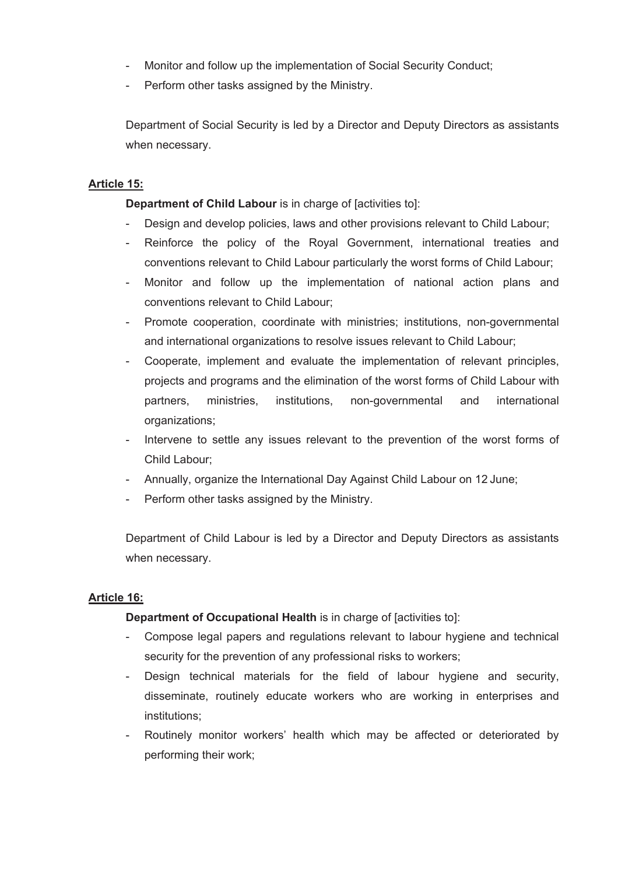- Monitor and follow up the implementation of Social Security Conduct;
- Perform other tasks assigned by the Ministry.

Department of Social Security is led by a Director and Deputy Directors as assistants when necessary.

## **Article 15:**

**Department of Child Labour** is in charge of [activities to]:

- Design and develop policies, laws and other provisions relevant to Child Labour;
- Reinforce the policy of the Royal Government, international treaties and conventions relevant to Child Labour particularly the worst forms of Child Labour;
- Monitor and follow up the implementation of national action plans and conventions relevant to Child Labour;
- Promote cooperation, coordinate with ministries; institutions, non-governmental and international organizations to resolve issues relevant to Child Labour;
- Cooperate, implement and evaluate the implementation of relevant principles, projects and programs and the elimination of the worst forms of Child Labour with partners, ministries, institutions, non-governmental and international organizations;
- Intervene to settle any issues relevant to the prevention of the worst forms of Child Labour;
- Annually, organize the International Day Against Child Labour on 12 June;
- Perform other tasks assigned by the Ministry.

Department of Child Labour is led by a Director and Deputy Directors as assistants when necessary.

# **Article 16:**

# **Department of Occupational Health** is in charge of [activities to]:

- Compose legal papers and regulations relevant to labour hygiene and technical security for the prevention of any professional risks to workers;
- Design technical materials for the field of labour hygiene and security, disseminate, routinely educate workers who are working in enterprises and institutions;
- Routinely monitor workers' health which may be affected or deteriorated by performing their work;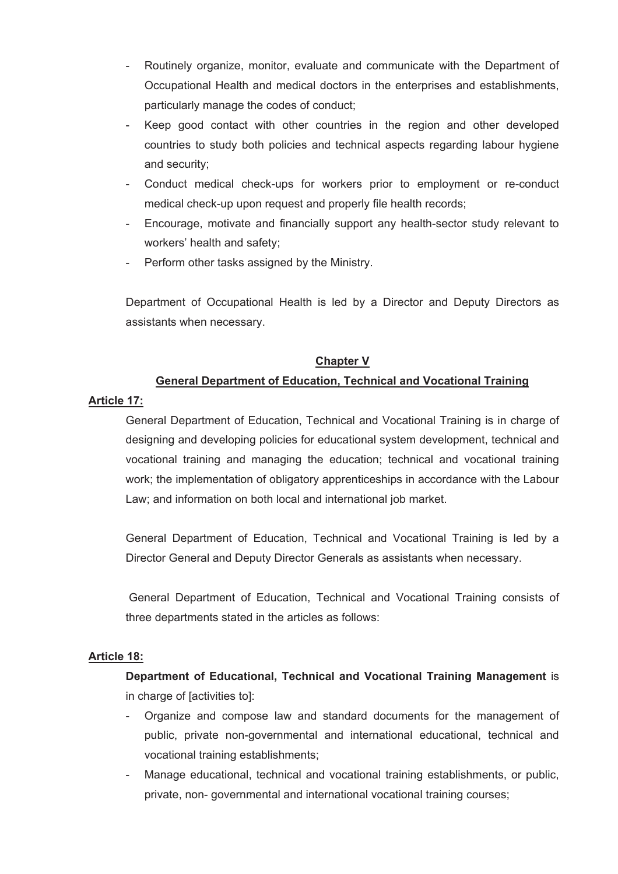- Routinely organize, monitor, evaluate and communicate with the Department of Occupational Health and medical doctors in the enterprises and establishments, particularly manage the codes of conduct;
- Keep good contact with other countries in the region and other developed countries to study both policies and technical aspects regarding labour hygiene and security;
- Conduct medical check-ups for workers prior to employment or re-conduct medical check-up upon request and properly file health records;
- Encourage, motivate and financially support any health-sector study relevant to workers' health and safety;
- Perform other tasks assigned by the Ministry.

Department of Occupational Health is led by a Director and Deputy Directors as assistants when necessary.

## **Chapter V**

# **General Department of Education, Technical and Vocational Training**

#### **Article 17:**

General Department of Education, Technical and Vocational Training is in charge of designing and developing policies for educational system development, technical and vocational training and managing the education; technical and vocational training work; the implementation of obligatory apprenticeships in accordance with the Labour Law; and information on both local and international job market.

General Department of Education, Technical and Vocational Training is led by a Director General and Deputy Director Generals as assistants when necessary.

General Department of Education, Technical and Vocational Training consists of three departments stated in the articles as follows:

#### **Article 18:**

**Department of Educational, Technical and Vocational Training Management** is in charge of [activities to]:

- Organize and compose law and standard documents for the management of public, private non-governmental and international educational, technical and vocational training establishments;
- Manage educational, technical and vocational training establishments, or public, private, non- governmental and international vocational training courses;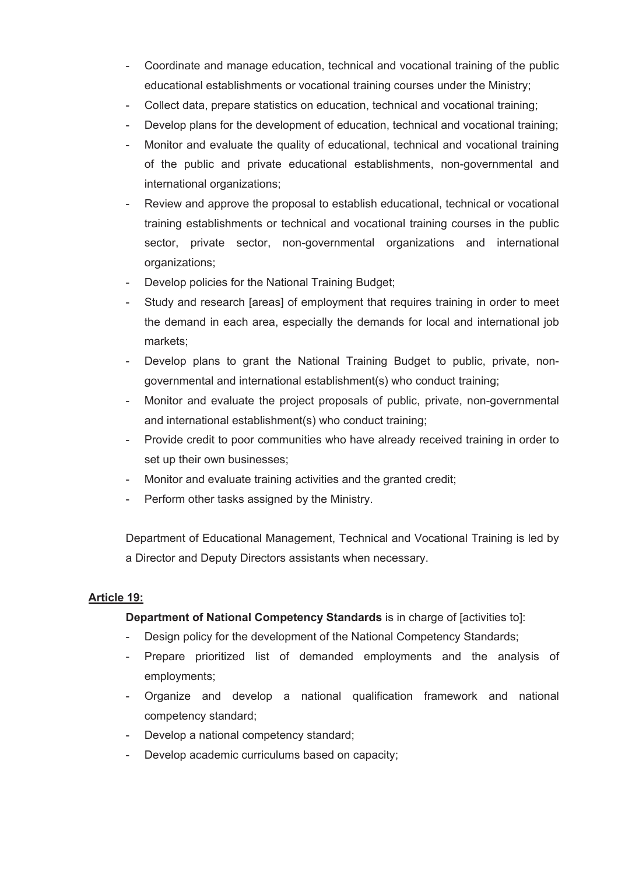- Coordinate and manage education, technical and vocational training of the public educational establishments or vocational training courses under the Ministry;
- Collect data, prepare statistics on education, technical and vocational training;
- Develop plans for the development of education, technical and vocational training;
- Monitor and evaluate the quality of educational, technical and vocational training of the public and private educational establishments, non-governmental and international organizations;
- Review and approve the proposal to establish educational, technical or vocational training establishments or technical and vocational training courses in the public sector, private sector, non-governmental organizations and international organizations;
- Develop policies for the National Training Budget;
- Study and research [areas] of employment that requires training in order to meet the demand in each area, especially the demands for local and international job markets;
- Develop plans to grant the National Training Budget to public, private, nongovernmental and international establishment(s) who conduct training;
- Monitor and evaluate the project proposals of public, private, non-governmental and international establishment(s) who conduct training;
- Provide credit to poor communities who have already received training in order to set up their own businesses;
- Monitor and evaluate training activities and the granted credit;
- Perform other tasks assigned by the Ministry.

Department of Educational Management, Technical and Vocational Training is led by a Director and Deputy Directors assistants when necessary.

# **Article 19:**

# **Department of National Competency Standards** is in charge of [activities to]:

- Design policy for the development of the National Competency Standards;
- Prepare prioritized list of demanded employments and the analysis of employments;
- Organize and develop a national qualification framework and national competency standard;
- Develop a national competency standard;
- Develop academic curriculums based on capacity;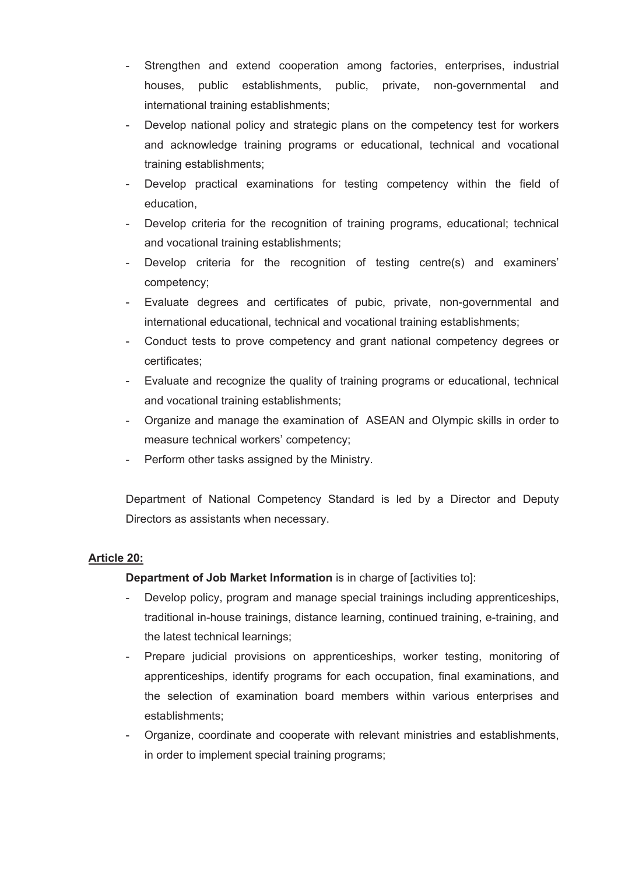- Strengthen and extend cooperation among factories, enterprises, industrial houses, public establishments, public, private, non-governmental and international training establishments;
- Develop national policy and strategic plans on the competency test for workers and acknowledge training programs or educational, technical and vocational training establishments;
- Develop practical examinations for testing competency within the field of education,
- Develop criteria for the recognition of training programs, educational; technical and vocational training establishments;
- Develop criteria for the recognition of testing centre(s) and examiners' competency;
- Evaluate degrees and certificates of pubic, private, non-governmental and international educational, technical and vocational training establishments;
- Conduct tests to prove competency and grant national competency degrees or certificates;
- Evaluate and recognize the quality of training programs or educational, technical and vocational training establishments;
- Organize and manage the examination of ASEAN and Olympic skills in order to measure technical workers' competency;
- Perform other tasks assigned by the Ministry.

Department of National Competency Standard is led by a Director and Deputy Directors as assistants when necessary.

# **Article 20:**

**Department of Job Market Information** is in charge of [activities to]:

- Develop policy, program and manage special trainings including apprenticeships, traditional in-house trainings, distance learning, continued training, e-training, and the latest technical learnings;
- Prepare judicial provisions on apprenticeships, worker testing, monitoring of apprenticeships, identify programs for each occupation, final examinations, and the selection of examination board members within various enterprises and establishments;
- Organize, coordinate and cooperate with relevant ministries and establishments, in order to implement special training programs;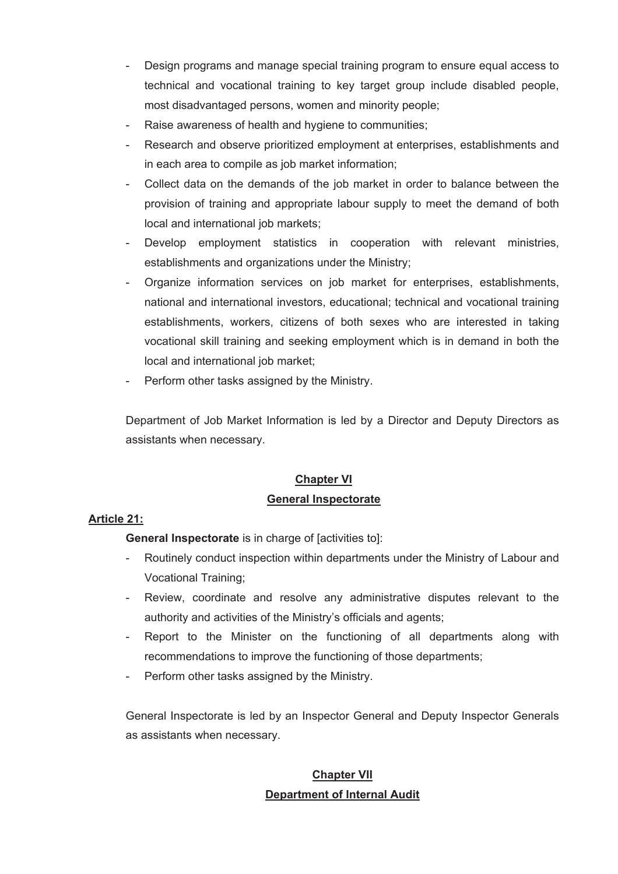- Design programs and manage special training program to ensure equal access to technical and vocational training to key target group include disabled people, most disadvantaged persons, women and minority people;
- Raise awareness of health and hygiene to communities;
- Research and observe prioritized employment at enterprises, establishments and in each area to compile as job market information;
- Collect data on the demands of the job market in order to balance between the provision of training and appropriate labour supply to meet the demand of both local and international job markets;
- Develop employment statistics in cooperation with relevant ministries, establishments and organizations under the Ministry;
- Organize information services on job market for enterprises, establishments, national and international investors, educational; technical and vocational training establishments, workers, citizens of both sexes who are interested in taking vocational skill training and seeking employment which is in demand in both the local and international job market;
- Perform other tasks assigned by the Ministry.

Department of Job Market Information is led by a Director and Deputy Directors as assistants when necessary.

# **Chapter VI General Inspectorate**

# **Article 21:**

**General Inspectorate** is in charge of [activities to]:

- Routinely conduct inspection within departments under the Ministry of Labour and Vocational Training;
- Review, coordinate and resolve any administrative disputes relevant to the authority and activities of the Ministry's officials and agents;
- Report to the Minister on the functioning of all departments along with recommendations to improve the functioning of those departments;
- Perform other tasks assigned by the Ministry.

General Inspectorate is led by an Inspector General and Deputy Inspector Generals as assistants when necessary.

# **Chapter VII Department of Internal Audit**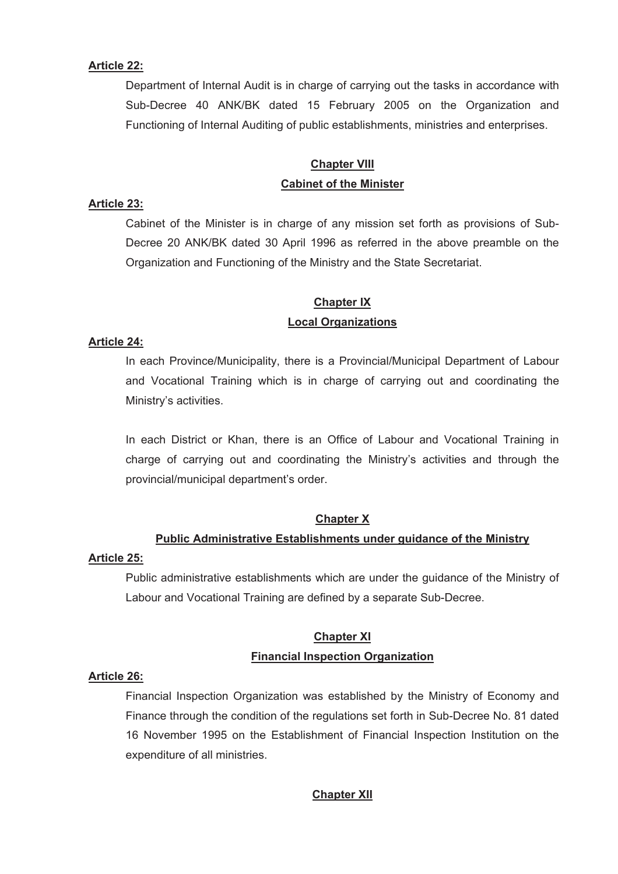#### **Article 22:**

Department of Internal Audit is in charge of carrying out the tasks in accordance with Sub-Decree 40 ANK/BK dated 15 February 2005 on the Organization and Functioning of Internal Auditing of public establishments, ministries and enterprises.

# **Chapter VIII Cabinet of the Minister**

## **Article 23:**

Cabinet of the Minister is in charge of any mission set forth as provisions of Sub-Decree 20 ANK/BK dated 30 April 1996 as referred in the above preamble on the Organization and Functioning of the Ministry and the State Secretariat.

# **Chapter IX**

## **Local Organizations**

#### **Article 24:**

In each Province/Municipality, there is a Provincial/Municipal Department of Labour and Vocational Training which is in charge of carrying out and coordinating the Ministry's activities.

In each District or Khan, there is an Office of Labour and Vocational Training in charge of carrying out and coordinating the Ministry's activities and through the provincial/municipal department's order.

#### **Chapter X**

#### **Public Administrative Establishments under guidance of the Ministry**

#### **Article 25:**

Public administrative establishments which are under the guidance of the Ministry of Labour and Vocational Training are defined by a separate Sub-Decree.

# **Chapter XI Financial Inspection Organization**

#### **Article 26:**

Financial Inspection Organization was established by the Ministry of Economy and Finance through the condition of the regulations set forth in Sub-Decree No. 81 dated 16 November 1995 on the Establishment of Financial Inspection Institution on the expenditure of all ministries.

# **Chapter XII**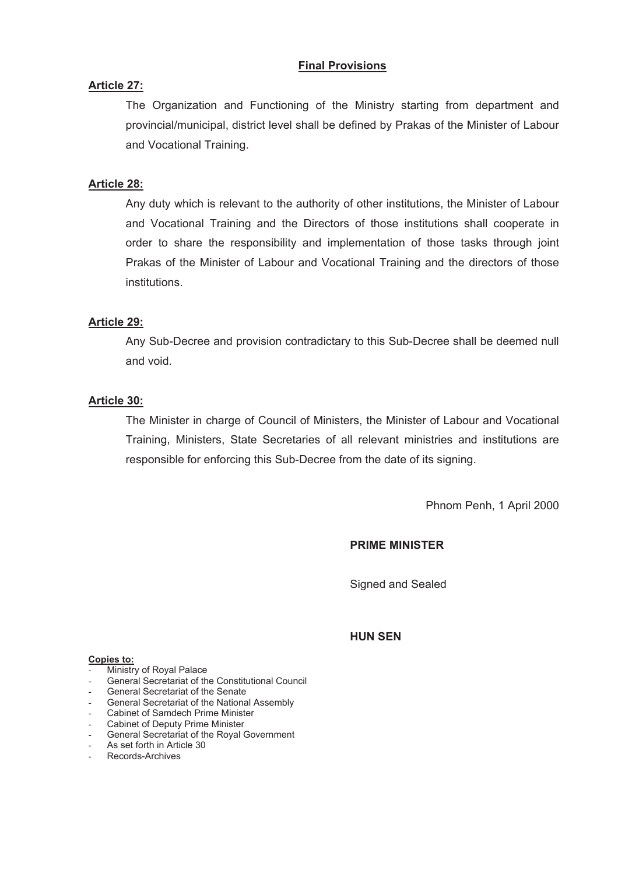## **Final Provisions**

## **Article 27:**

The Organization and Functioning of the Ministry starting from department and provincial/municipal, district level shall be defined by Prakas of the Minister of Labour and Vocational Training.

## **Article 28:**

Any duty which is relevant to the authority of other institutions, the Minister of Labour and Vocational Training and the Directors of those institutions shall cooperate in order to share the responsibility and implementation of those tasks through joint Prakas of the Minister of Labour and Vocational Training and the directors of those institutions.

## **Article 29:**

Any Sub-Decree and provision contradictary to this Sub-Decree shall be deemed null and void.

#### **Article 30:**

The Minister in charge of Council of Ministers, the Minister of Labour and Vocational Training, Ministers, State Secretaries of all relevant ministries and institutions are responsible for enforcing this Sub-Decree from the date of its signing.

Phnom Penh, 1 April 2000

## **PRIME MINISTER**

Signed and Sealed

#### **HUN SEN**

#### **Copies to:**

- Ministry of Royal Palace
- General Secretariat of the Constitutional Council
- General Secretariat of the Senate
- General Secretariat of the National Assembly
- Cabinet of Samdech Prime Minister<br>Cabinet of Deputy Prime Minister
- Cabinet of Deputy Prime Minister
- General Secretariat of the Royal Government
- As set forth in Article 30
- Records-Archives